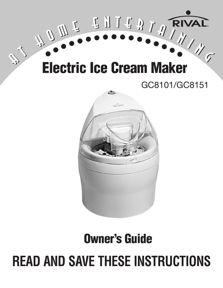# **ELECTRIC CREAMER AND RESERVAL**



# **Owner's Guide**

# **READ AND SAVE THESE INSTRUCTIONS**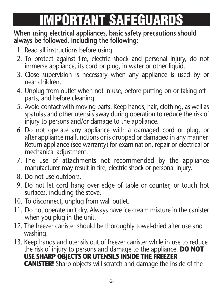# **IMPORTANT SAFEGUARDS**

### **When using electrical appliances, basic safety precautions should always be followed, including the following:**

- 1. Read all instructions before using.
- 2. To protect against fire, electric shock and personal injury, do not immerse appliance, its cord or plug, in water or other liquid.
- 3. Close supervision is necessary when any appliance is used by or near children.
- 4. Unplug from outlet when not in use, before putting on or taking off parts, and before cleaning.
- 5. Avoid contact with moving parts. Keep hands, hair, clothing, as well as spatulas and other utensils away during operation to reduce the risk of injury to persons and/or damage to the appliance.
- 6. Do not operate any appliance with a damaged cord or plug, or after appliance malfunctions or is dropped or damaged in any manner. Return appliance (see warranty) for examination, repair or electrical or mechanical adjustment.
- 7. The use of attachments not recommended by the appliance manufacturer may result in fire, electric shock or personal injury.
- 8. Do not use outdoors.
- 9. Do not let cord hang over edge of table or counter, or touch hot surfaces, including the stove.
- 10. To disconnect, unplug from wall outlet.
- 11. Do not operate unit dry. Always have ice cream mixture in the canister when you plug in the unit.
- 12. The freezer canister should be thoroughly towel-dried after use and washing.
- 13. Keep hands and utensils out of freezer canister while in use to reduce the risk of injury to persons and damage to the appliance. **DO NOT USE SHARP OBJECTS OR UTENSILS INSIDE THE FREEZER CANISTER!** Sharp objects will scratch and damage the inside of the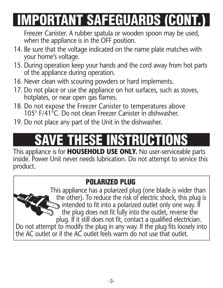# **IMPORTANT SAFEGUARDS (CONT.)**

Freezer Canister. A rubber spatula or wooden spoon may be used, when the appliance is in the OFF position.

- 14. Be sure that the voltage indicated on the name plate matches with your home's voltage.
- 15. During operation keep your hands and the cord away from hot parts of the appliance during operation.
- 16. Never clean with scouring powders or hard implements.
- 17. Do not place or use the appliance on hot surfaces, such as stoves, hotplates, or near open gas flames.
- 18. Do not expose the Freezer Canister to temperatures above 105° F/41°C. Do not clean Freezer Canister in dishwasher.
- 19. Do not place any part of the Unit in the dishwasher.

# **SAVE THESE INSTRUCTIONS**

This appliance is for **HOUSEHOLD USE ONLY.** No user-serviceable parts inside. Power Unit never needs lubrication. Do not attempt to service this product.

### **POLARIZED PLUG**

This appliance has a polarized plug (one blade is wider than the other). To reduce the risk of electric shock, this plug is intended to fit into a polarized outlet only one way. If the plug does not fit fully into the outlet, reverse the plug. If it still does not fit, contact a qualified electrician. Do not attempt to modify the plug in any way. If the plug fits loosely into the AC outlet or if the AC outlet feels warm do not use that outlet.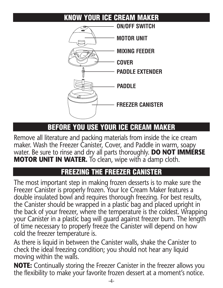### **KNOW YOUR ICE CREAM MAKER**



### **BEFORE YOU USE YOUR ICE CREAM MAKER**

Remove all literature and packing materials from inside the ice cream maker. Wash the Freezer Canister, Cover, and Paddle in warm, soapy water. Be sure to rinse and dry all parts thoroughly. **DO NOT IMMERSE MOTOR UNIT IN WATER.** To clean, wipe with a damp cloth.

### **FREEZING THE FREEZER CANISTER**

The most important step in making frozen desserts is to make sure the Freezer Canister is properly frozen. Your Ice Cream Maker features a double insulated bowl and requires thorough freezing. For best results, the Canister should be wrapped in a plastic bag and placed upright in the back of your freezer, where the temperature is the coldest. Wrapping your Canister in a plastic bag will guard against freezer burn. The length of time necessary to properly freeze the Canister will depend on how cold the freezer temperature is.

As there is liquid in between the Canister walls, shake the Canister to check the ideal freezing condition; you should not hear any liquid moving within the walls.

**NOTE:** Continually storing the Freezer Canister in the freezer allows you the flexibility to make your favorite frozen dessert at a moment's notice.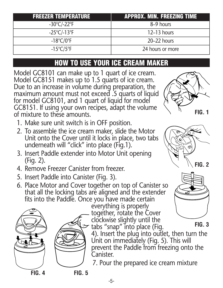| <b>FREEZER TEMPERATURE</b>       | APPROX. MIN. FREEZING TIME |
|----------------------------------|----------------------------|
| $-30^{\circ}$ C/-22 $^{\circ}$ F | 8–9 hours                  |
| $-25^{\circ}$ C/-13 $^{\circ}$ F | $12-13$ hours              |
| $-18^{\circ}$ C/0 $^{\circ}$ F   | $20 - 22$ hours            |
| $-15^{\circ}$ C/5 $^{\circ}$ F   | 24 hours or more           |

### **HOW TO USE YOUR ICE CREAM MAKER**

Model GC8101 can make up to 1 quart of ice cream. Model GC8151 makes up to 1.5 quarts of ice cream. Due to an increase in volume during preparation, the maximum amount must not exceed .5 quarts of liquid for model GC8101, and 1 quart of liquid for model GC8151. If using your own recipes, adapt the volume of mixture to these amounts.

- 1. Make sure unit switch is in OFF position.
- 2. To assemble the ice cream maker, slide the Motor Unit onto the Cover until it locks in place, two tabs underneath will "click" into place (Fig.1).
- 3. Insert Paddle extender into Motor Unit opening (Fig. 2).
- 4. Remove Freezer Canister from freezer.
- 5. Insert Paddle into Canister (Fig. 3).
- 6. Place Motor and Cover together on top of Canister so that all the locking tabs are aligned and the extender fits into the Paddle. Once you have made certain





everything is properly together, rotate the Cover clockwise slightly until the tabs "snap" into place (Fig. 4). Insert the plug into outlet, then turn the

Unit on immediately (Fig. 5). This will prevent the Paddle from freezing onto the Canister.

7. Pour the prepared ice cream mixture







**FIG. 3**

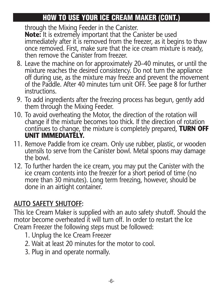### **HOW TO USE YOUR ICE CREAM MAKER (CONT.)**

through the Mixing Feeder in the Canister. **Note:** It is extremely important that the Canister be used immediately after it is removed from the freezer, as it begins to thaw once removed. First, make sure that the ice cream mixture is ready, then remove the Canister from freezer.

- 8. Leave the machine on for approximately 20–40 minutes, or until the mixture reaches the desired consistency. Do not turn the appliance off during use, as the mixture may freeze and prevent the movement of the Paddle. After 40 minutes turn unit OFF. See page 8 for further instructions.
- 9. To add ingredients after the freezing process has begun, gently add them through the Mixing Feeder.
- 10. To avoid overheating the Motor, the direction of the rotation will change if the mixture becomes too thick. If the direction of rotation continues to change, the mixture is completely prepared, **TURN OFF UNIT IMMEDIATELY.**
- 11. Remove Paddle from ice cream. Only use rubber, plastic, or wooden utensils to serve from the Canister bowl. Metal spoons may damage the bowl.
- 12. To further harden the ice cream, you may put the Canister with the ice cream contents into the freezer for a short period of time (no more than 30 minutes). Long term freezing, however, should be done in an airtight container.

### **AUTO SAFETY SHUTOFF:**

This Ice Cream Maker is supplied with an auto safety shutoff. Should the motor become overheated it will turn off. In order to restart the Ice Cream Freezer the following steps must be followed:

- 1. Unplug the Ice Cream Freezer
- 2. Wait at least 20 minutes for the motor to cool.
- 3. Plug in and operate normally.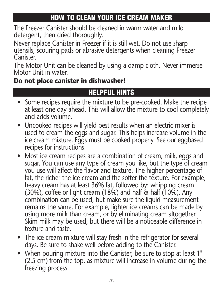### **HOW TO CLEAN YOUR ICE CREAM MAKER**

The Freezer Canister should be cleaned in warm water and mild detergent, then dried thoroughly.

Never replace Canister in Freezer if it is still wet. Do not use sharp utensils, scouring pads or abrasive detergents when cleaning Freezer Canister.

The Motor Unit can be cleaned by using a damp cloth. Never immerse Motor Unit in water.

### **Do not place canister in dishwasher!**

### **HELPFUL HINTS**

- Some recipes require the mixture to be pre-cooked. Make the recipe at least one day ahead. This will allow the mixture to cool completely and adds volume.
- Uncooked recipes will yield best results when an electric mixer is used to cream the eggs and sugar. This helps increase volume in the ice cream mixture. Eggs must be cooked properly. See our eggbased recipes for instructions.
- Most ice cream recipes are a combination of cream, milk, eggs and sugar. You can use any type of cream you like, but the type of cream you use will affect the flavor and texture. The higher percentage of fat, the richer the ice cream and the softer the texture. For example, heavy cream has at least 36% fat, followed by: whipping cream  $(30\%)$ , coffee or light cream  $(18\%)$  and half & half  $(10\%)$ . Any combination can be used, but make sure the liquid measurement remains the same. For example, lighter ice creams can be made by using more milk than cream, or by eliminating cream altogether. Skim milk may be used, but there will be a noticeable difference in texture and taste.
- The ice cream mixture will stay fresh in the refrigerator for several days. Be sure to shake well before adding to the Canister.
- When pouring mixture into the Canister, be sure to stop at least 1" (2.5 cm) from the top, as mixture will increase in volume during the freezing process.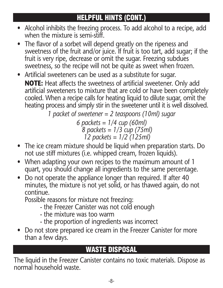### **HELPFUL HINTS (CONT.)**

- Alcohol inhibits the freezing process. To add alcohol to a recipe, add when the mixture is semi-stiff.
- The flavor of a sorbet will depend greatly on the ripeness and sweetness of the fruit and/or juice. If fruit is too tart, add sugar; if the fruit is very ripe, decrease or omit the sugar. Freezing subdues sweetness, so the recipe will not be quite as sweet when frozen.
- Artificial sweeteners can be used as a substitute for sugar. **NOTE:** Heat affects the sweetness of artificial sweetener. Only add artificial sweeteners to mixture that are cold or have been completely cooled. When a recipe calls for heating liquid to dilute sugar, omit the heating process and simply stir in the sweetener until it is well dissolved.

*1 packet of sweetener = 2 teaspoons (10ml) sugar*

*6 packets = 1/4 cup (60ml) 8 packets = 1/3 cup (75ml) 12 packets = 1/2 (125ml)*

- The ice cream mixture should be liquid when preparation starts. Do not use stiff mixtures (i.e. whipped cream, frozen liquids).
- When adapting your own recipes to the maximum amount of 1 quart, you should change all ingredients to the same percentage.
- Do not operate the appliance longer than required. If after 40 minutes, the mixture is not yet solid, or has thawed again, do not continue.

Possible reasons for mixture not freezing:

- the Freezer Canister was not cold enough
- the mixture was too warm
- the proportion of ingredients was incorrect
- Do not store prepared ice cream in the Freezer Canister for more than a few days.

### **WASTE DISPOSAL**

The liquid in the Freezer Canister contains no toxic materials. Dispose as normal household waste.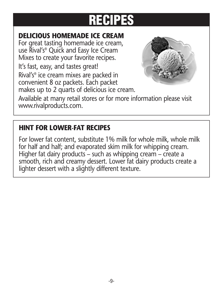### **DELICIOUS HOMEMADE ICE CREAM**

For great tasting homemade ice cream, use Rival's® Quick and Easy Ice Cream Mixes to create your favorite recipes. It's fast, easy, and tastes great! Rival's® ice cream mixes are packed in

convenient 8 oz packets. Each packet makes up to 2 quarts of delicious ice cream.



Available at many retail stores or for more information please visit www.rivalproducts.com.

### **HINT FOR LOWER-FAT RECIPES**

For lower fat content, substitute 1% milk for whole milk, whole milk for half and half; and evaporated skim milk for whipping cream. Higher fat dairy products – such as whipping cream – create a smooth, rich and creamy dessert. Lower fat dairy products create a lighter dessert with a slightly different texture.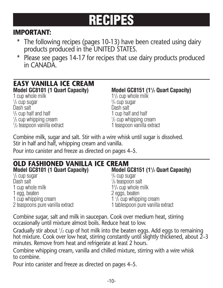### **IMPORTANT:**

- \* The following recipes (pages 10-13) have been created using dairy products produced in the UNITED STATES.
- \* Please see pages 14-17 for recipes that use dairy products produced in CANADA.

### **EASY VANILLA ICE CREAM Model GC8101 (1 Quart Capacity)**

1 cup whole milk  $\frac{1}{2}$  cup sugar  $\frac{3}{2}$ Dash salt Dash salt <sup>2</sup>/<sub>3</sub> cup half and half  $\frac{1}{3}$  cup whipping cream  $\frac{1}{3}$ <sup>1</sup>/<sub>2</sub> teaspoon vanilla extract is a state of teaspoon vanilla extract

### **/2 Quart Capacity)**

 $1\frac{1}{2}$  cup whole milk  $\frac{3}{4}$  cup sugar 1 cup half and half  $\frac{1}{2}$  cup whipping cream

Combine milk, sugar and salt. Stir with a wire whisk until sugar is dissolved. Stir in half and half, whipping cream and vanilla.

Pour into canister and freeze as directed on pages 4–5.

### **OLD FASHIONED VANILLA ICE CREAM Model GC8101 (1 Quart Capacity) /2 Quart Capacity)**  $\frac{1}{2}$  cup sugar  $\frac{3}{2}$  $3/4$  cup sugar

| Dash salt                        | <sup>1</sup> / <sub>8</sub> teaspoon salt |
|----------------------------------|-------------------------------------------|
| 1 cup whole milk                 | $1\frac{3}{4}$ cup whole milk             |
| 1 egg, beaten                    | 2 eggs, beaten                            |
| 1 cup whipping cream             | $1\frac{1}{2}$ cup whipping cream         |
| 2 teaspoons pure vanilla extract | 1 tablespoon pure vanilla extract         |
|                                  |                                           |

Combine sugar, salt and milk in saucepan. Cook over medium heat, stirring occasionally until mixture almost boils. Reduce heat to low.

Gradually stir about  $\frac{1}{2}$  cup of hot milk into the beaten eggs. Add eggs to remaining hot mixture. Cook over low heat, stirring constantly until slightly thickened, about 2-3 minutes. Remove from heat and refrigerate at least 2 hours.

Combine whipping cream, vanilla and chilled mixture, stirring with a wire whisk to combine.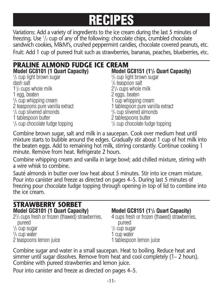Variations: Add a variety of ingredients to the ice cream during the last 5 minutes of freezing. Use  $\frac{1}{2}$  cup of any of the following: chocolate chips, crumbled chocolate sandwich cookies, M&M's, crushed peppermint candies, chocolate covered peanuts, etc. Fruit: Add 1 cup of pureed fruit such as strawberries, bananas, peaches, blueberries, etc.

| <b>PRALINE ALMOND FUDGE ICE CREAM</b>     |                                                 |  |
|-------------------------------------------|-------------------------------------------------|--|
| Model GC8101 (1 Quart Capacity)           | Model GC8151 (1 <sup>1</sup> /2 Quart Capacity) |  |
| $\frac{1}{2}$ cup light brown sugar       | $3/4$ cup light brown sugar                     |  |
| dash salt                                 | $\frac{1}{8}$ teaspoon salt                     |  |
| $1\frac{1}{2}$ cups whole milk            | $2\frac{1}{4}$ cups whole milk                  |  |
| 1 egg, beaten                             | 2 eggs, beaten                                  |  |
| $\frac{2}{3}$ cup whipping cream          | 1 cup whipping cream                            |  |
| 2 teaspoons pure vanilla extract          | 1 tablespoon pure vanilla extract               |  |
| $\frac{1}{2}$ cup slivered almonds        | $\frac{3}{4}$ cup slivered almonds              |  |
| 1 tablespoon butter                       | 2 tablespoons butter                            |  |
| $\frac{1}{3}$ cup chocolate fudge topping | $\frac{1}{2}$ cup chocolate fudge topping       |  |

Combine brown sugar, salt and milk in a saucepan. Cook over medium heat until mixture starts to bubble around the edges. Gradually stir about 1 cup of hot milk into the beaten eggs. Add to remaining hot milk, stirring constantly. Continue cooking 1 minute. Remove from heat. Refrigerate 2 hours.

Combine whipping cream and vanilla in large bowl; add chilled mixture, stirring with a wire whisk to combine.

Sauté almonds in butter over low heat about 5 minutes. Stir into ice cream mixture. Pour into canister and freeze as directed on pages 4–5. During last 5 minutes of freezing pour chocolate fudge topping through opening in top of lid to combine into the ice cream.

### **STRAWBERRY SORBET Model GC8101 (1 Quart Capacity)**

pureed pureed **pureed**  $\frac{1}{3}$  cup sugar  $\frac{1}{3}$  $\frac{2}{3}$  cup water  $\frac{1}{1}$  cup water 2 teaspoons lemon juice 1 tablespoon lemon juice

### **/2 Quart Capacity)**

22 /3 cups fresh or frozen (thawed) strawberries, 4 cups fresh or frozen (thawed) strawberries, pureed<br><sup>1</sup>/<sub>2</sub> cup sugar

Combine sugar and water in a small saucepan. Heat to boiling. Reduce heat and simmer until sugar dissolves. Remove from heat and cool completely (1– 2 hours). Combine with pureed strawberries and lemon juice.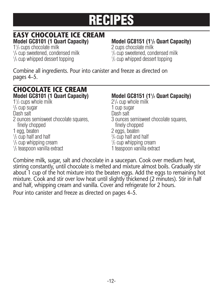### **EASY CHOCOLATE ICE CREAM Model GC8101 (1 Quart Capacity)**

1<sup>1</sup>/<sub>3</sub> cups chocolate milk  $\frac{1}{4}$  cup sweetened, condensed milk  $\frac{1}{4}$  $\frac{1}{3}$  cup whipped dessert topping  $\frac{1}{3}$ 

### **/2 Quart Capacity)**

/3 cups chocolate milk 2 cups chocolate milk  $\frac{1}{3}$  cup sweetened, condensed milk  $\frac{1}{2}$  cup whipped dessert topping

Combine all ingredients. Pour into canister and freeze as directed on pages 4–5.

### **CHOCOLATE ICE CREAM Model GC8101 (1 Quart Capacity) Model GC8151 (11**

 $1\frac{1}{2}$  cups whole milk  $2<sup>1</sup>$  $\frac{2}{3}$  cup sugar Dash salt Dash salt finely chopped finely chopped 1 egg, beaten 2 eggs, beaten  $\frac{1}{2}$  cup half and half  $\frac{3}{2}$  $\frac{1}{3}$  cup whipping cream  $\frac{1}{3}$ 1/2 teaspoon vanilla extract

### **/2 Quart Capacity)**

 $2^{1}/4$  cup whole milk 1 cup sugar 2 ounces semisweet chocolate squares, 3 ounces semisweet chocolate squares,  $\frac{3}{4}$  cup half and half  $\frac{1}{2}$  cup whipping cream /2 teaspoon vanilla extract 1 teaspoon vanilla extract

Combine milk, sugar, salt and chocolate in a saucepan. Cook over medium heat, stirring constantly, until chocolate is melted and mixture almost boils. Gradually stir about 1 cup of the hot mixture into the beaten eggs. Add the eggs to remaining hot mixture. Cook and stir over low heat until slightly thickened (2 minutes). Stir in half and half, whipping cream and vanilla. Cover and refrigerate for 2 hours.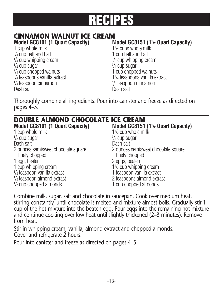### **CINNAMON WALNUT ICE CREAM Model GC8101 (1 Quart Capacity)**

1 cup whole milk  $\frac{2}{3}$  cup half and half  $\frac{1}{3}$  cup whipping cream  $\frac{1}{3}$  $\frac{1}{2}$  cup sugar  $\frac{3}{2}$  $^{2}/_{3}$  cup chopped walnuts  $^{2}/_{3}$  cup chopped walnuts  $\frac{3}{4}$  teaspoons vanilla extract  $\frac{11}{10}$  $\frac{1}{4}$  teaspoon cinnamon  $\frac{1}{4}$ Dash salt Dash salt

### **/2 Quart Capacity)**

 $1\frac{1}{2}$  cups whole milk 1 cup half and half  $\frac{1}{2}$  cup whipping cream  $\frac{3}{4}$  cup sugar 11/<sub>4</sub> teaspoons vanilla extract  $\frac{1}{3}$  teaspoon cinnamon

Thoroughly combine all ingredients. Pour into canister and freeze as directed on pages 4–5.

| <b>DOUBLE ALMOND CHOCOLATE ICE CREAM</b> |                                                 |  |
|------------------------------------------|-------------------------------------------------|--|
| Model GC8101 (1 Quart Capacity)          | Model GC8151 (1 <sup>1</sup> /2 Quart Capacity) |  |
| 1 cup whole milk                         | $1\frac{1}{2}$ cup whole milk                   |  |
| $\frac{1}{2}$ cup sugar                  | $\frac{3}{4}$ cup sugar                         |  |
| Dash salt                                | Dash salt                                       |  |
| 2 ounces semisweet chocolate square,     | 2 ounces semisweet chocolate square,            |  |
| finely chopped                           | finely chopped                                  |  |
| 1 egg, beaten                            | 2 eggs, beaten                                  |  |
| 1 cup whipping cream                     | $1\frac{1}{2}$ cup whipping cream               |  |
| $\frac{1}{2}$ teaspoon vanilla extract   | 1 teaspoon vanilla extract                      |  |
| $\frac{1}{2}$ teaspoon almond extract    | 2 teaspoons almond extract                      |  |
| $\frac{1}{2}$ cup chopped almonds        | 1 cup chopped almonds                           |  |

Combine milk, sugar, salt and chocolate in saucepan. Cook over medium heat, stirring constantly, until chocolate is melted and mixture almost boils. Gradually stir 1 cup of the hot mixture into the beaten egg. Pour eggs into the remaining hot mixture and continue cooking over low heat until slightly thickened (2–3 minutes). Remove from heat.

Stir in whipping cream, vanilla, almond extract and chopped almonds. Cover and refrigerate 2 hours.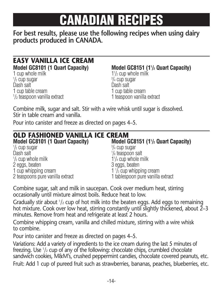### **For best results, please use the following recipes when using dairy products produced in CANADA.**

## **EASY VANILLA ICE CREAM**

**Model GC8101 (1 Quart Capacity)** 

1 cup whole milk  $\frac{1}{2}$  cup sugar  $\frac{3}{2}$ Dash salt Dash salt 1 cup table cream 1 cup table cream 1/2 teaspoon vanilla extract

### **/2 Quart Capacity)**

 $1\frac{1}{2}$  cup whole milk  $3/4$  cup sugar /<sup>2</sup> teaspoon vanilla extract 1 teaspoon vanilla extract

Combine milk, sugar and salt. Stir with a wire whisk until sugar is dissolved. Stir in table cream and vanilla.

Pour into canister and freeze as directed on pages 4–5.

### **OLD FASHIONED VANILLA ICE CREAM Model GC8101 (1 Quart Capacity) /2 Quart Capacity)**  $\frac{1}{2}$  cup sugar  $\frac{3}{2}$  $3/4$  cup sugar

Dash salt <sup>1</sup>  $\frac{1}{2}$  cup whole milk  $\frac{1}{1}$ 2 eggs, beaten 3 eggs, beaten 3 eggs, beaten 3 eggs, beaten 3 eggs, beaten 3 eggs, beaten 3 eggs, beaten 3 eggs, beaten 3 eggs, beaten 3 eggs, beaten 3 eggs, beaten 3 eggs, beaten 3 eggs, beaten 3 eggs, beaten 3 eggs, beat 1 cup whipping cream

1/<sub>8</sub> teaspoon salt  $1\frac{1}{4}$  cup whole milk  $1\frac{1}{2}$  cup whipping cream 2 teaspoons pure vanilla extract 1 tablespoon pure vanilla extract

Combine sugar, salt and milk in saucepan. Cook over medium heat, stirring occasionally until mixture almost boils. Reduce heat to low.

Gradually stir about  $\frac{1}{2}$  cup of hot milk into the beaten eggs. Add eggs to remaining hot mixture. Cook over low heat, stirring constantly until slightly thickened, about 2–3 minutes. Remove from heat and refrigerate at least 2 hours.

Combine whipping cream, vanilla and chilled mixture, stirring with a wire whisk to combine.

Pour into canister and freeze as directed on pages 4–5.

Variations: Add a variety of ingredients to the ice cream during the last 5 minutes of freezing. Use <sup>1</sup> /2 cup of any of the following: chocolate chips, crumbled chocolate sandwich cookies, M&M's, crushed peppermint candies, chocolate covered peanuts, etc. Fruit: Add 1 cup of pureed fruit such as strawberries, bananas, peaches, blueberries, etc.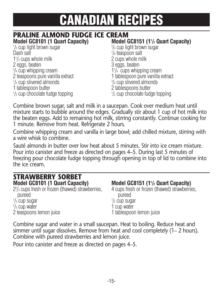### **PRALINE ALMOND FUDGE ICE CREAM Model GC8101 (1 Quart Capacity) Model GC8151 (11**

 $\frac{1}{2}$  cup light brown sugar  $\frac{3}{2}$ Dash salt <sup>1</sup> 11 /4 cups whole milk 2 cups whole milk 2 eggs, beaten 3 eggs, beaten 3 eggs, beaten 3 eggs, beaten 3 eggs, beaten 3 eggs, beaten 3 eggs, beaten 3 eggs, beaten 3 eggs, beaten 3 eggs, beaten 3 eggs, beaten 3 eggs, beaten 3 eggs, beaten 3 eggs, beaten 3 eggs, beat  $3/4$  cup whipping cream  $1<sup>1</sup>$ 2 teaspoons pure vanilla extract 1 tablespoon pure vanilla extract  $\frac{1}{2}$  cup slivered almonds 1 tablespoon butter 2 tablespoons butter  $\frac{1}{3}$  cup chocolate fudge topping  $\frac{1}{3}$ 

**/2 Quart Capacity)**

 $3/4$  cup light brown sugar  $\frac{1}{8}$  teaspoon salt 1<sup>1</sup>/<sub>4</sub> cups whipping cream <sup>3</sup>/<sub>4</sub> cup slivered almonds  $\frac{1}{2}$  cup chocolate fudge topping

Combine brown sugar, salt and milk in a saucepan. Cook over medium heat until mixture starts to bubble around the edges. Gradually stir about 1 cup of hot milk into the beaten eggs. Add to remaining hot milk, stirring constantly. Continue cooking for 1 minute. Remove from heat. Refrigerate 2 hours.

Combine whipping cream and vanilla in large bowl; add chilled mixture, stirring with a wire whisk to combine.

Sauté almonds in butter over low heat about 5 minutes. Stir into ice cream mixture. Pour into canister and freeze as directed on pages 4–5. During last 5 minutes of freezing pour chocolate fudge topping through opening in top of lid to combine into the ice cream.

### **STRAWBERRY SORBET Model GC8101 (1 Quart Capacity) Model GC8151 (11**

22 /3 cups fresh or frozen (thawed) strawberries, 4 cups fresh or frozen (thawed) strawberries,  $\frac{1}{2}$  cups fresh or frozen (thawed) strawberries,  $\frac{1}{2}$  cups fresh or frozen (thawed) strawberries, pureed  $\frac{1}{3}$  cup sugar  $\frac{1}{3}$  $\frac{2}{3}$  cup water  $\frac{1}{3}$  cup water 2 teaspoons lemon juice 1 tablespoon lemon juice

### **/2 Quart Capacity)**

 $\frac{1}{2}$  cup sugar

Combine sugar and water in a small saucepan. Heat to boiling. Reduce heat and simmer until sugar dissolves. Remove from heat and cool completely (1–2 hours). Combine with pureed strawberries and lemon juice.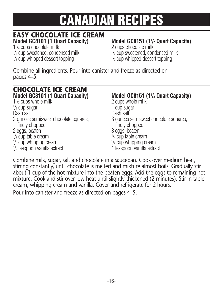### **EASY CHOCOLATE ICE CREAM Model GC8101 (1 Quart Capacity)**

1<sup>1</sup>/<sub>3</sub> cups chocolate milk  $\frac{1}{4}$  cup sweetened, condensed milk  $\frac{1}{4}$  $\frac{1}{3}$  cup whipped dessert topping  $\frac{1}{3}$ 

### **/2 Quart Capacity)**

/3 cups chocolate milk 2 cups chocolate milk  $\frac{1}{3}$  cup sweetened, condensed milk /2 cup whipped dessert topping

Combine all ingredients. Pour into canister and freeze as directed on pages 4–5.

### **CHOCOLATE ICE CREAM Model GC8101 (1 Quart Capacity) Model GC8151 (11**

 $1\frac{1}{2}$  cups whole milk  $\frac{2}{3}$  cup sugar Dash salt Dash salt finely chopped finely chopped 2 eggs, beaten 3 eggs, beaten  $\frac{1}{2}$  cup table cream  $\frac{3}{2}$  $\frac{1}{3}$  cup whipping cream  $\frac{1}{3}$ 1/<sub>2</sub> teaspoon vanilla extract

### **/2 Quart Capacity)**

/2 cups whole milk 2 cups whole milk 1 cup sugar 2 ounces semisweet chocolate squares,  $\frac{3}{2}$  ounces semisweet chocolate squares, <sup>3</sup>/<sub>4</sub> cup table cream  $\frac{1}{2}$  cup whipping cream /2 teaspoon vanilla extract 1 teaspoon vanilla extract

Combine milk, sugar, salt and chocolate in a saucepan. Cook over medium heat, stirring constantly, until chocolate is melted and mixture almost boils. Gradually stir about 1 cup of the hot mixture into the beaten eggs. Add the eggs to remaining hot mixture. Cook and stir over low heat until slightly thickened (2 minutes). Stir in table cream, whipping cream and vanilla. Cover and refrigerate for 2 hours.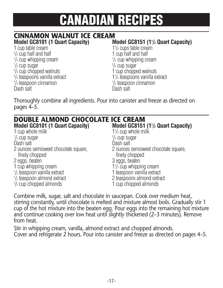### **CINNAMON WALNUT ICE CREAM Model GC8101 (1 Quart Capacity) Model GC8151 (11**

1 cup table cream  $\frac{2}{3}$  cup half and half  $\frac{1}{3}$  cup whipping cream  $\frac{1}{3}$  $\frac{1}{2}$  cup sugar  $\frac{3}{2}$  $\frac{2}{3}$  cup chopped walnuts  $\frac{3}{4}$  teaspoons vanilla extract  $\frac{11}{10}$  $\frac{1}{4}$  teaspoon cinnamon Dash salt Dash salt

### **/2 Quart Capacity)**

 $1\frac{1}{2}$  cups table cream 1 cup half and half  $\frac{1}{2}$  cup whipping cream  $3/4$  cup sugar 1 cup chopped walnuts 1<sup>1</sup>/<sub>4</sub> teaspoons vanilla extract 1/<sub>3</sub> teaspoon cinnamon

Thoroughly combine all ingredients. Pour into canister and freeze as directed on pages 4–5.

| <b>DOUBLE ALMOND CHOCOLATE ICE CREAM</b> |                                                 |  |
|------------------------------------------|-------------------------------------------------|--|
| Model GC8101 (1 Quart Capacity)          | Model GC8151 (1 <sup>1</sup> /2 Quart Capacity) |  |
| 1 cup whole milk                         | $1\frac{1}{2}$ cup whole milk                   |  |
| $\frac{1}{2}$ cup sugar                  | $\frac{3}{4}$ cup sugar                         |  |
| Dash salt                                | Dash salt                                       |  |
| 2 ounces semisweet chocolate square,     | 2 ounces semisweet chocolate square,            |  |
| finely chopped                           | finely chopped                                  |  |
| 2 eggs, beaten                           | 3 eggs, beaten                                  |  |
| 1 cup whipping cream                     | $1\frac{1}{2}$ cup whipping cream               |  |
| $\frac{1}{2}$ teaspoon vanilla extract   | 1 teaspoon vanilla extract                      |  |
| $\frac{1}{2}$ teaspoon almond extract    | 2 teaspoons almond extract                      |  |
| $\frac{1}{2}$ cup chopped almonds        | 1 cup chopped almonds                           |  |

Combine milk, sugar, salt and chocolate in saucepan. Cook over medium heat, stirring constantly, until chocolate is melted and mixture almost boils. Gradually stir 1 cup of the hot mixture into the beaten egg. Pour eggs into the remaining hot mixture and continue cooking over low heat until slightly thickened (2–3 minutes). Remove from heat.

Stir in whipping cream, vanilla, almond extract and chopped almonds. Cover and refrigerate 2 hours. Pour into canister and freeze as directed on pages 4–5.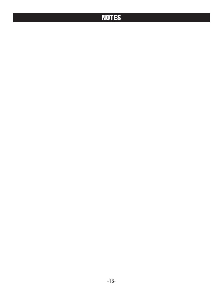### **NOTES**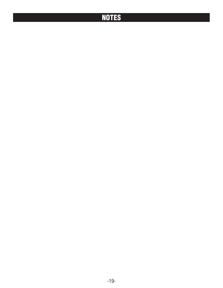### **NOTES**